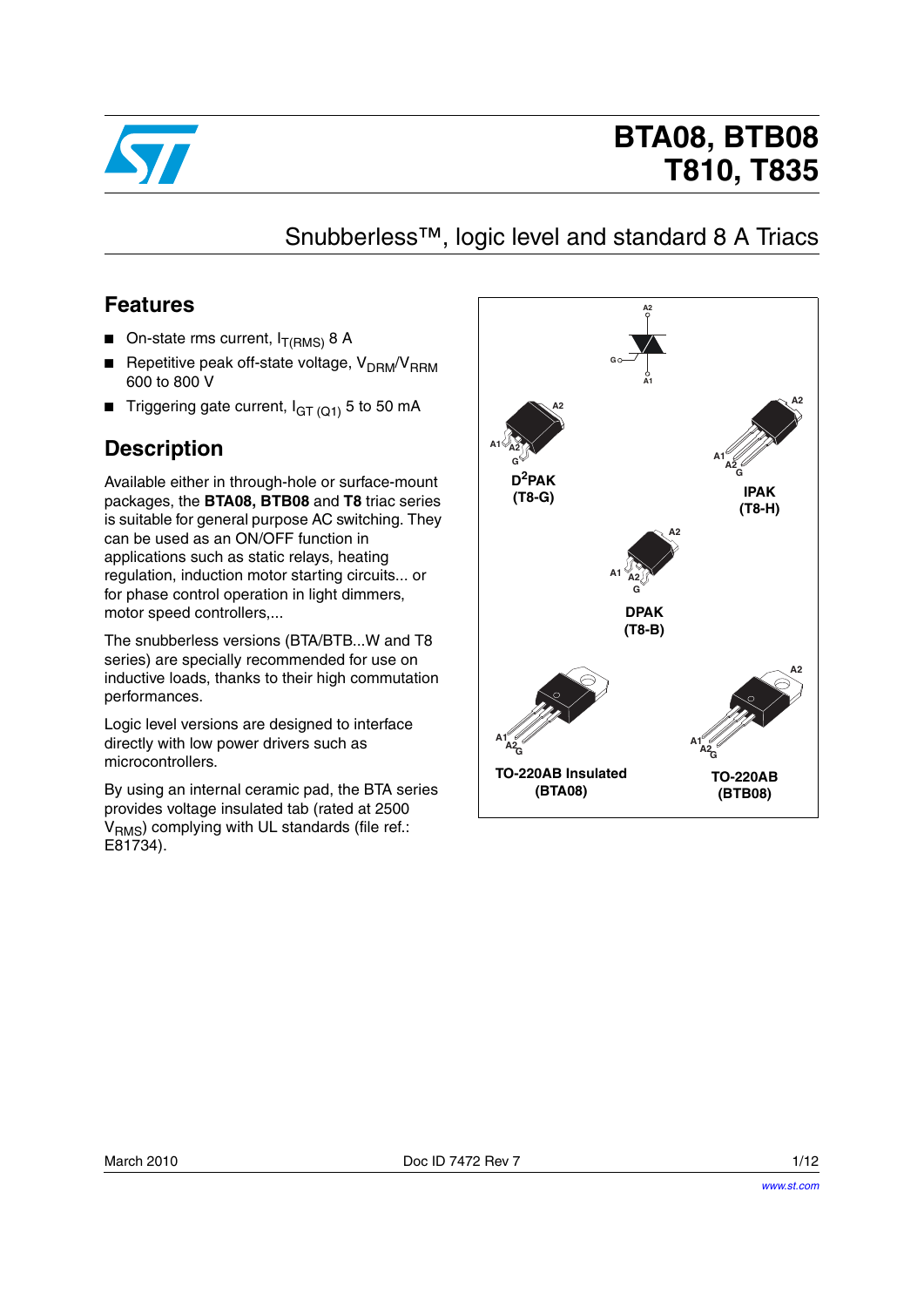

# **BTA08, BTB08 T810, T835**

### Snubberless™, logic level and standard 8 A Triacs

### **Features**

- **On-state rms current,**  $I_{T(RMS)}$  **8 A**
- **■** Repetitive peak off-state voltage,  $V_{DRM}/V_{RRM}$ 600 to 800 V
- Triggering gate current,  $I_{GT(Q1)}$  5 to 50 mA

### **Description**

Available either in through-hole or surface-mount packages, the **BTA08, BTB08** and **T8** triac series is suitable for general purpose AC switching. They can be used as an ON/OFF function in applications such as static relays, heating regulation, induction motor starting circuits... or for phase control operation in light dimmers, motor speed controllers,...

The snubberless versions (BTA/BTB...W and T8 series) are specially recommended for use on inductive loads, thanks to their high commutation performances.

Logic level versions are designed to interface directly with low power drivers such as microcontrollers.

By using an internal ceramic pad, the BTA series provides voltage insulated tab (rated at 2500 V<sub>RMS</sub>) complying with UL standards (file ref.: E81734).

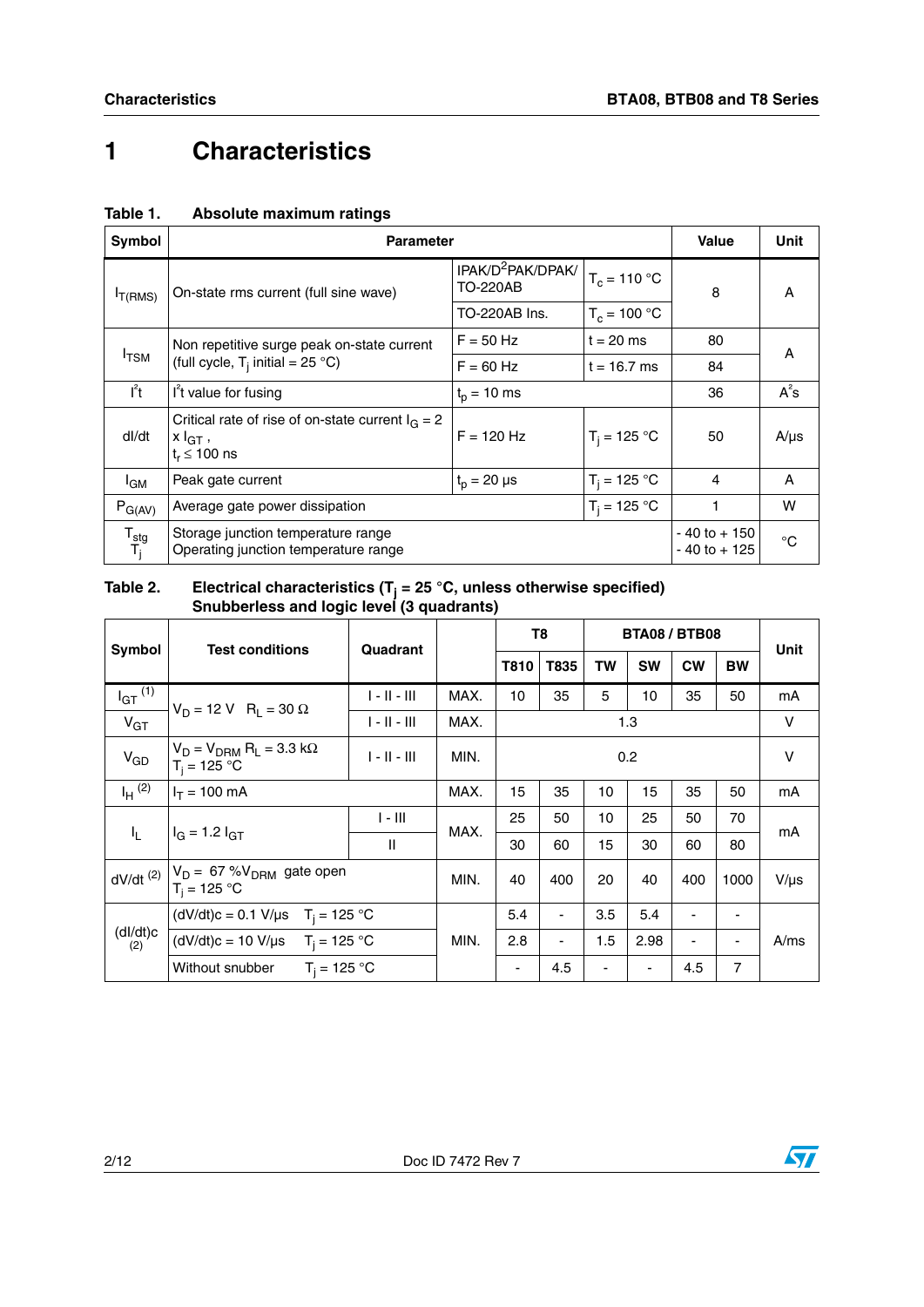# **1 Characteristics**

| Symbol                   | <b>Parameter</b>                                                                         |                                                  |                | <b>Value</b>                       | Unit        |
|--------------------------|------------------------------------------------------------------------------------------|--------------------------------------------------|----------------|------------------------------------|-------------|
| I <sub>T</sub> (RMS)     | On-state rms current (full sine wave)                                                    | IPAK/D <sup>2</sup> PAK/DPAK/<br><b>TO-220AB</b> | $T_c = 110 °C$ | 8                                  | A           |
|                          |                                                                                          | TO-220AB Ins.                                    | $T_c = 100 °C$ |                                    |             |
|                          | Non repetitive surge peak on-state current                                               | $F = 50$ Hz                                      | $t = 20$ ms    | 80                                 | A           |
| $I_{\text{TSM}}$         | (full cycle, $T_i$ initial = 25 °C)                                                      | $F = 60$ Hz                                      | $t = 16.7$ ms  | 84                                 |             |
| $I^2t$                   | If value for fusing                                                                      | $t_{p}$ = 10 ms                                  |                | 36                                 | $A^2s$      |
| dl/dt                    | Critical rate of rise of on-state current $I_G = 2$<br>$x I_{GT}$ ,<br>$t_r \leq 100$ ns | $F = 120$ Hz                                     | $T_i = 125 °C$ | 50                                 | $A/\mu s$   |
| <sup>I</sup> GM          | Peak gate current                                                                        | $t_p = 20 \mu s$                                 | $T_i = 125 °C$ | 4                                  | A           |
| $P_{G(AV)}$              | Average gate power dissipation                                                           |                                                  | $T_i = 125 °C$ | 1                                  | W           |
| ${\tt T_{stg}}$<br>$T_i$ | Storage junction temperature range<br>Operating junction temperature range               |                                                  |                | $-40$ to $+150$<br>$-40$ to $+125$ | $^{\circ}C$ |

### **Table 1. Absolute maximum ratings**

#### **Table 2. Electrical characteristics (Tj = 25 °C, unless otherwise specified) Snubberless and logic level (3 quadrants)**

|                         |                                                                                         |                |      |      | T <sub>8</sub> |                          | <b>BTA08 / BTB08</b>     |                |                          |           |
|-------------------------|-----------------------------------------------------------------------------------------|----------------|------|------|----------------|--------------------------|--------------------------|----------------|--------------------------|-----------|
| Symbol                  | <b>Test conditions</b>                                                                  | Quadrant       |      | T810 | T835           | <b>TW</b>                | <b>SW</b>                | <b>CW</b>      | <b>BW</b>                | Unit      |
| $I_{GT}$ <sup>(1)</sup> | $V_D = 12 \text{ V}$ R <sub>1</sub> = 30 $\Omega$                                       | $1 - 11 - 111$ | MAX. | 10   | 35             | 5                        | 10                       | 35             | 50                       | mA        |
| $V_{GT}$                |                                                                                         | $1 - 11 - 111$ | MAX. |      |                |                          | 1.3                      |                |                          | V         |
| $V_{GD}$                | $V_D = V_{DRM} R_L = 3.3 k\Omega$<br>$T_i = 125 °C$                                     | $1 - 11 - 111$ | MIN. |      |                |                          | 0.2                      |                |                          | v         |
| $I_H$ (2)               | $I_T = 100$ mA                                                                          |                | MAX. | 15   | 35             | 10                       | 15                       | 35             | 50                       | mA        |
| $I_{\rm L}$             | $I_G = 1.2 I_{GT}$                                                                      | $I - III$      | MAX. | 25   | 50             | 10                       | 25                       | 50             | 70                       | mA        |
|                         |                                                                                         | Ш              | 30   |      | 60             | 15                       | 30                       | 60             | 80                       |           |
|                         | dV/dt (2) $\begin{vmatrix} V_D = 67 % V_{DRM} \ gate open \ T_i = 125 °C \end{vmatrix}$ |                | MIN. | 40   | 400            | 20                       | 40                       | 400            | 1000                     | $V/\mu s$ |
|                         | (dV/dt)c = 0.1 V/µs $T_i = 125 °C$                                                      |                |      | 5.4  | $\blacksquare$ | 3.5                      | 5.4                      | $\blacksquare$ | $\overline{\phantom{a}}$ |           |
| (dI/dt)c<br>(2)         | (dV/dt)c = 10 V/µs $T_i = 125 °C$                                                       |                | MIN. | 2.8  | ٠              | 1.5                      | 2.98                     | $\blacksquare$ | $\overline{\phantom{a}}$ | A/ms      |
|                         | $T_i = 125 °C$<br>Without snubber                                                       |                |      | ٠    | 4.5            | $\overline{\phantom{a}}$ | $\overline{\phantom{0}}$ | 4.5            | $\overline{7}$           |           |

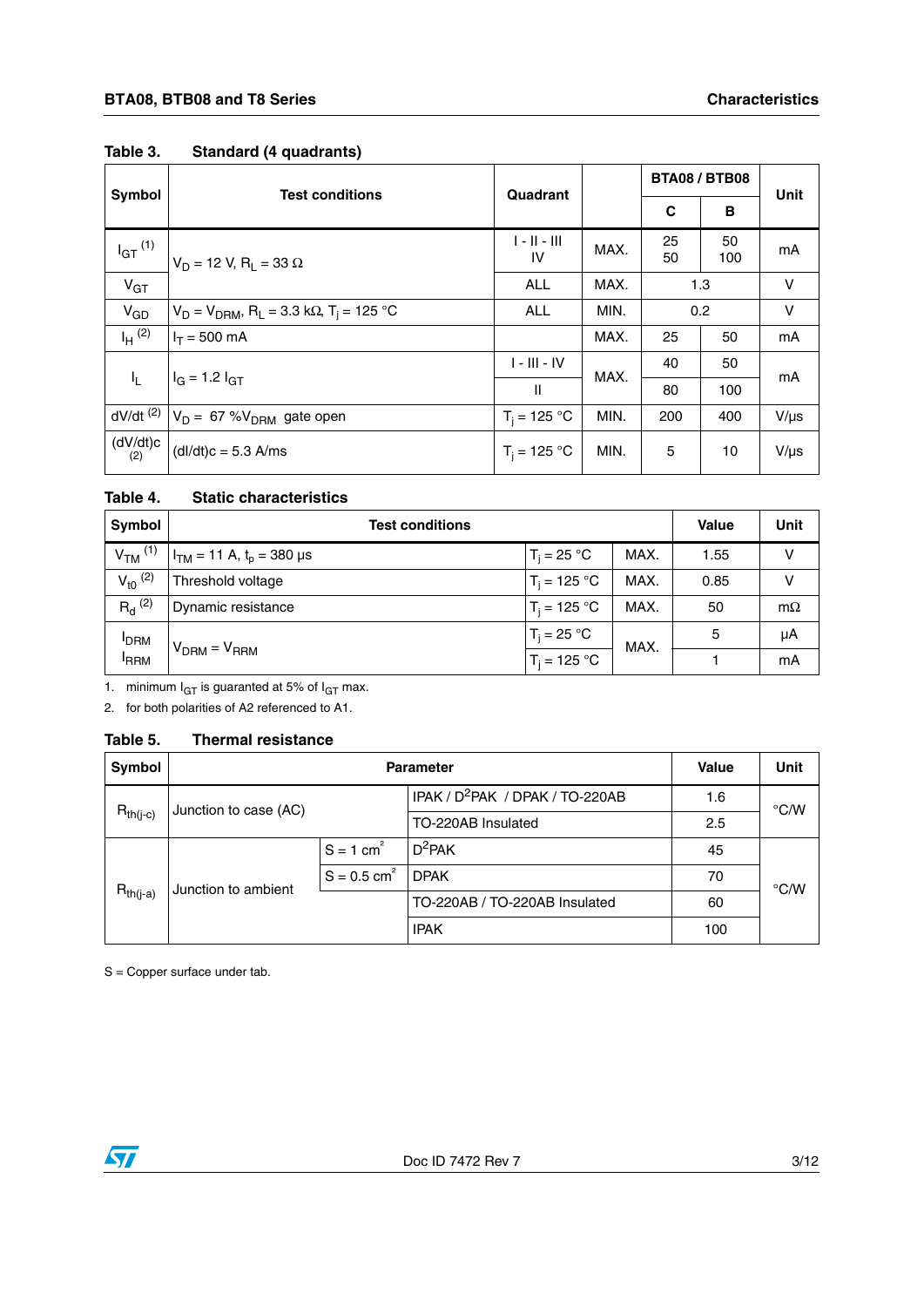| <b>Symbol</b>          | <b>Test conditions</b>                                                      | Quadrant             |             | <b>BTA08 / BTB08</b> |           | Unit      |  |
|------------------------|-----------------------------------------------------------------------------|----------------------|-------------|----------------------|-----------|-----------|--|
|                        |                                                                             |                      |             | C                    | B         |           |  |
| $I_{GT}$ $^{(1)}$      | $V_D = 12 V, R_1 = 33 \Omega$                                               | $1 - 11 - 111$<br>IV | MAX.        | 25<br>50             | 50<br>100 | mA        |  |
| $V_{GT}$               |                                                                             |                      | MAX.        |                      | 1.3       | v         |  |
| $V_{GD}$               | $V_D = V_{DRM}$ , R <sub>L</sub> = 3.3 k $\Omega$ , T <sub>i</sub> = 125 °C | <b>ALL</b>           | MIN.<br>0.2 |                      |           | $\vee$    |  |
| $I_H$ (2)              | $I_T = 500$ mA                                                              |                      | MAX.        | 25                   | 50        | mA        |  |
|                        | $I_G = 1.2 I_{GT}$                                                          | $I - III - IV$       | MAX.        | 40                   | 50        | mA        |  |
| $I_{L}$                |                                                                             | $\mathbf{I}$         |             | 80                   | 100       |           |  |
| $dV/dt$ <sup>(2)</sup> | $V_D = 67 %V_{DRM}$ gate open                                               | $T_i = 125 °C$       | MIN.        | 200                  | 400       | $V/\mu s$ |  |
| (dV/dt)c<br>(2)        | $(dI/dt)c = 5.3$ A/ms                                                       | $T_i = 125 °C$       | MIN.        | 5                    | 10        | $V/\mu s$ |  |

#### **Table 3. Standard (4 quadrants)**

### **Table 4. Static characteristics**

| Symbol               | <b>Test conditions</b>          | <b>Value</b>   | <b>Unit</b> |      |           |
|----------------------|---------------------------------|----------------|-------------|------|-----------|
| $VTM$ <sup>(1)</sup> | $I_{TM}$ = 11 A, $t_p$ = 380 µs | $T_i = 25 °C$  | MAX.        | 1.55 | v         |
| $V_{10}$ (2)         | Threshold voltage               | $T_i = 125 °C$ | MAX.        | 0.85 | v         |
| $R_{d}^{(2)}$        | Dynamic resistance              | $T_i = 125 °C$ | MAX.        | 50   | $m\Omega$ |
| <b>IDRM</b>          |                                 | $T_i = 25 °C$  | MAX.        | 5    | μA        |
| <sup>I</sup> RRM     | $V_{DRM} = V_{RRM}$             | $T_i = 125 °C$ |             |      | mA        |

1. minimum  $I_{GT}$  is guaranted at 5% of  $I_{GT}$  max.

2. for both polarities of A2 referenced to A1.

#### **Table 5. Thermal resistance**

| Symbol                                 |                     | <b>Parameter</b>          |                                             |     |               |
|----------------------------------------|---------------------|---------------------------|---------------------------------------------|-----|---------------|
|                                        |                     |                           | IPAK / D <sup>2</sup> PAK / DPAK / TO-220AB |     | $\degree$ C/W |
| Junction to case (AC)<br>$R_{th(j-c)}$ |                     |                           | TO-220AB Insulated                          | 2.5 |               |
|                                        |                     |                           | $D^2$ PAK                                   | 45  |               |
|                                        | Junction to ambient | $S = 0.5$ cm <sup>2</sup> | <b>DPAK</b>                                 | 70  | $\degree$ C/W |
| $R_{th(j-a)}$                          |                     |                           | TO-220AB / TO-220AB Insulated               | 60  |               |
|                                        |                     |                           | <b>IPAK</b>                                 | 100 |               |

S = Copper surface under tab.

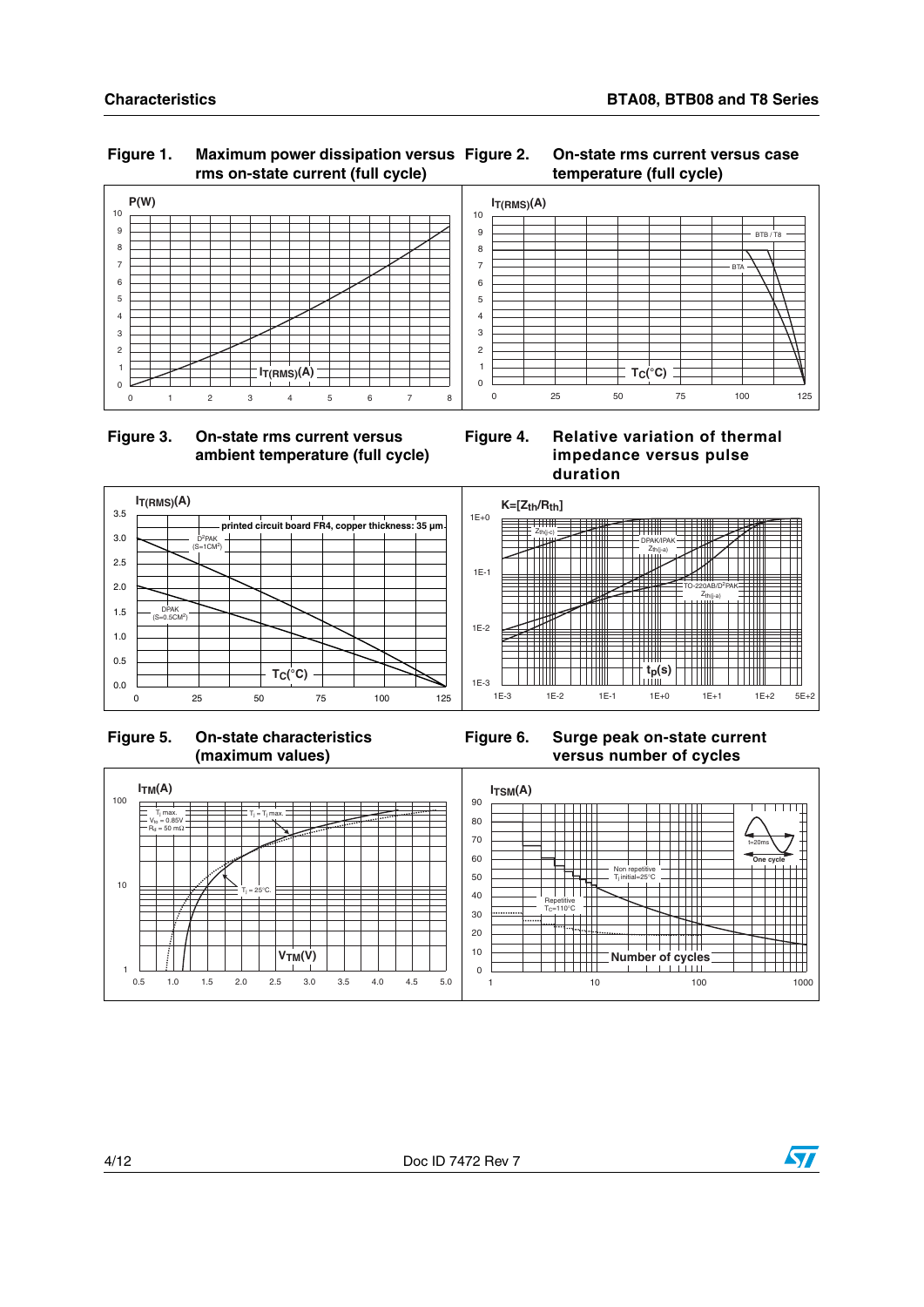### **Figure 1. Maximum power dissipation versus rms on-state current (full cycle)**





#### 0 25 50 75 100 125  $\mathfrak{o}$ 1 2 3 4 5 6 7 8 9 10  $I_{T(RMS)}(A)$ **T (°C) C** BTA RTB



**Figure 4. Relative variation of thermal impedance versus pulse duration**





**Figure 6. Surge peak on-state current versus number of cycles**



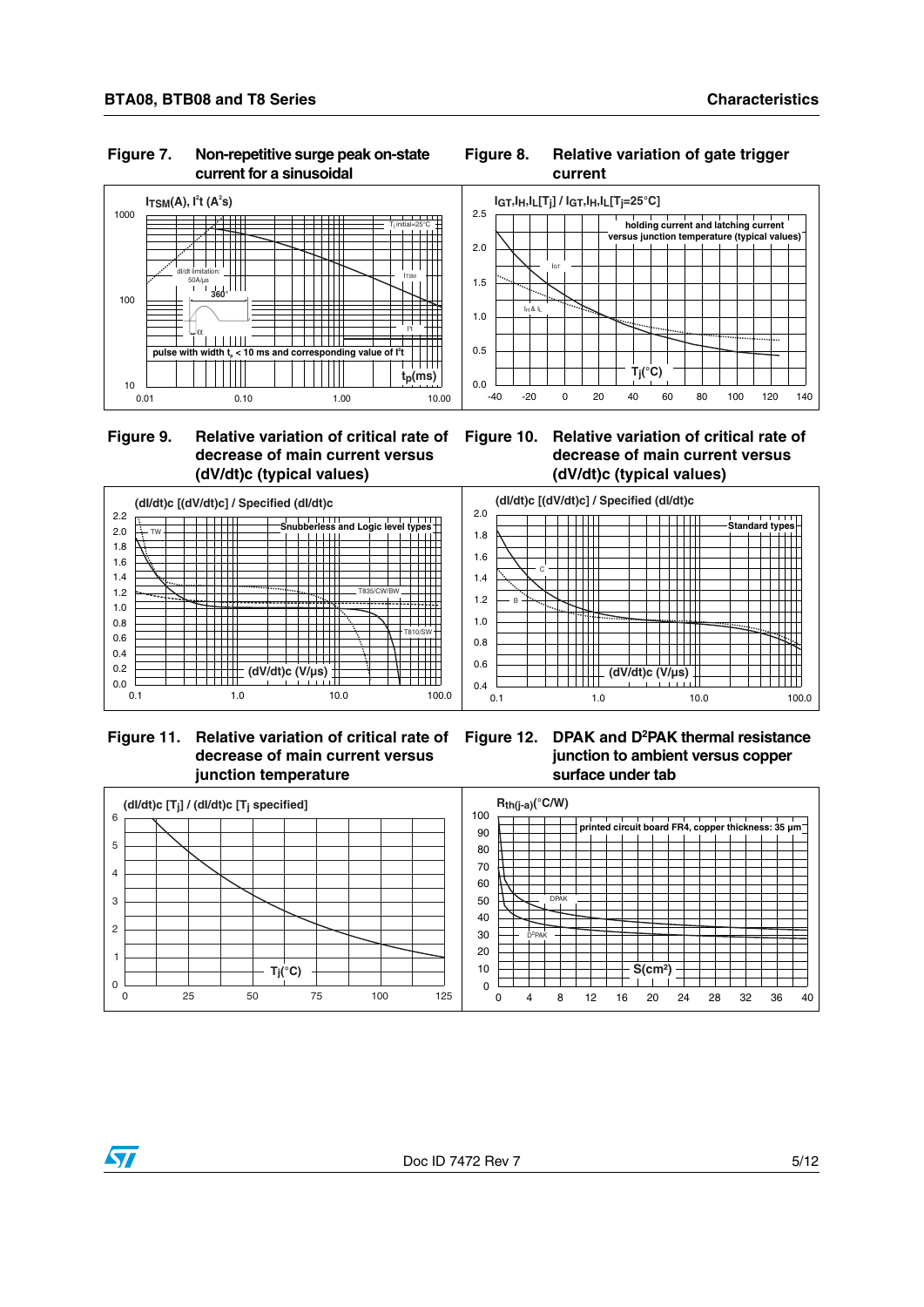#### **Figure 7. Non-repetitive surge peak on-state current for a sinusoidal**



#### **Figure 8. Relative variation of gate trigger current**



### **Figure 9. Relative variation of critical rate of decrease of main current versus (dV/dt)c (typical values)**

#### **Figure 10. Relative variation of critical rate of decrease of main current versus (dV/dt)c (typical values)**



 **Figure 11. Relative variation of critical rate of decrease of main current versus junction temperature**

**Figure 12. DPAK and D2PAK thermal resistance junction to ambient versus copper surface under tab**

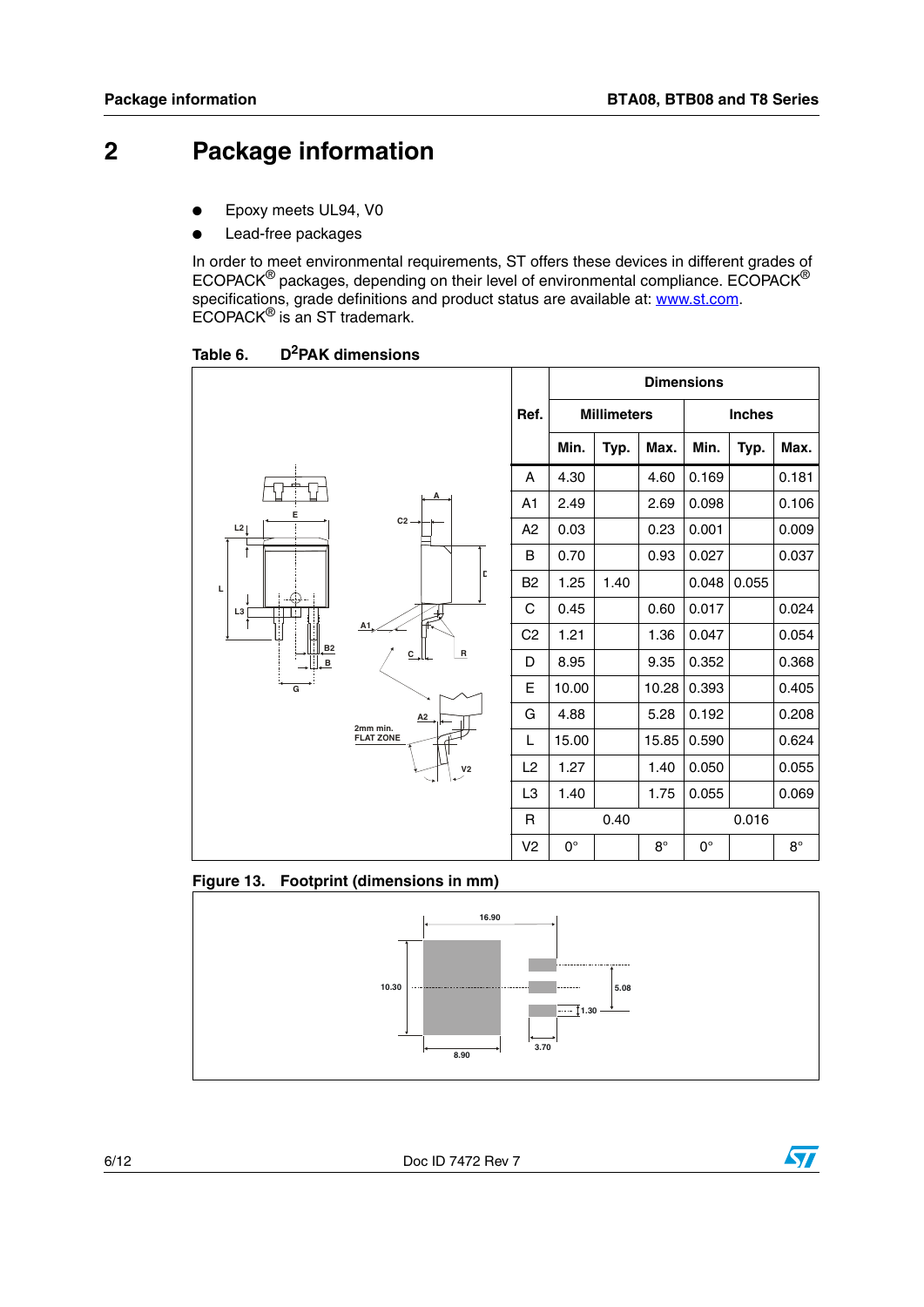### **2 Package information**

- Epoxy meets UL94, V0
- Lead-free packages

In order to meet environmental requirements, ST offers these devices in different grades of ECOPACK® packages, depending on their level of environmental compliance. ECOPACK® specifications, grade definitions and product status are available at: [www.st.com](http://www.st.com). ECOPACK® is an ST trademark.

Table 6. **D**<sup>2</sup>PAK dimensions



#### **Figure 13. Footprint (dimensions in mm)**



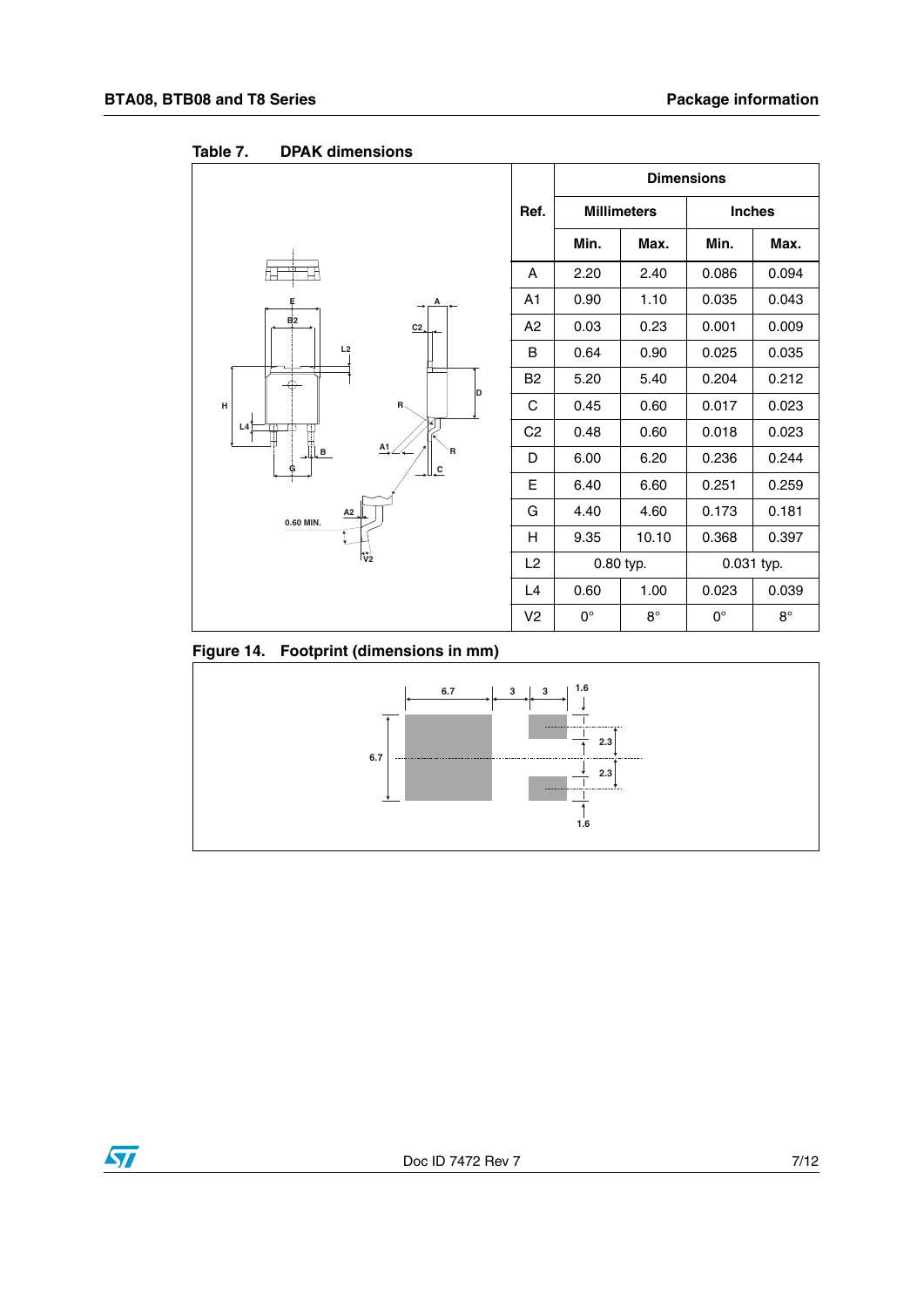

Table 7. **DPAK dimensions** 

**Figure 14. Footprint (dimensions in mm)**



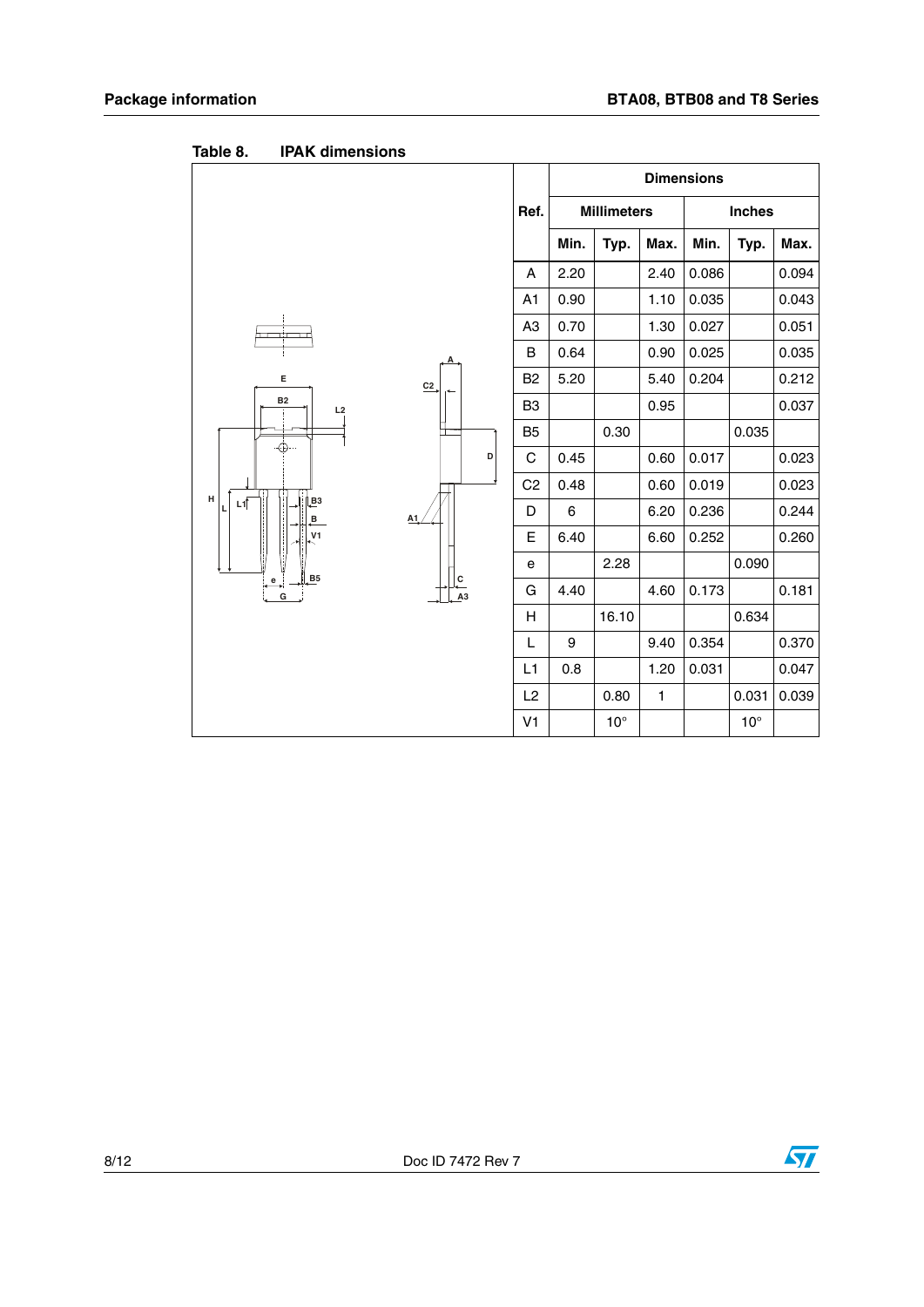|                                |                                        |                |      |                    |      | <b>Dimensions</b> |               |       |
|--------------------------------|----------------------------------------|----------------|------|--------------------|------|-------------------|---------------|-------|
|                                |                                        | Ref.           |      | <b>Millimeters</b> |      |                   | <b>Inches</b> |       |
|                                |                                        |                | Min. | Typ.               | Max. | Min.              | Typ.          | Max.  |
|                                |                                        | Α              | 2.20 |                    | 2.40 | 0.086             |               | 0.094 |
|                                |                                        | A <sub>1</sub> | 0.90 |                    | 1.10 | 0.035             |               | 0.043 |
| דר                             |                                        | A <sub>3</sub> | 0.70 |                    | 1.30 | 0.027             |               | 0.051 |
|                                |                                        | В              | 0.64 |                    | 0.90 | 0.025             |               | 0.035 |
| Е                              | C <sub>2</sub>                         | B <sub>2</sub> | 5.20 |                    | 5.40 | 0.204             |               | 0.212 |
| <b>B2</b><br>L2                |                                        | B <sub>3</sub> |      |                    | 0.95 |                   |               | 0.037 |
|                                |                                        | B <sub>5</sub> |      | 0.30               |      |                   | 0.035         |       |
| ⊕                              | D                                      | С              | 0.45 |                    | 0.60 | 0.017             |               | 0.023 |
| н                              |                                        | C <sub>2</sub> | 0.48 |                    | 0.60 | 0.019             |               | 0.023 |
| B <sub>3</sub><br>L1<br>L<br>в | A1                                     | D              | 6    |                    | 6.20 | 0.236             |               | 0.244 |
| V <sub>1</sub>                 |                                        | Е              | 6.40 |                    | 6.60 | 0.252             |               | 0.260 |
| B5                             |                                        | е              |      | 2.28               |      |                   | 0.090         |       |
| e<br>$\mathsf{G}$              | $\frac{c}{\sqrt{c}}$<br>A <sub>3</sub> | G              | 4.40 |                    | 4.60 | 0.173             |               | 0.181 |
|                                |                                        | н              |      | 16.10              |      |                   | 0.634         |       |
|                                |                                        | L              | 9    |                    | 9.40 | 0.354             |               | 0.370 |
|                                |                                        | L1             | 0.8  |                    | 1.20 | 0.031             |               | 0.047 |
|                                |                                        | L <sub>2</sub> |      | 0.80               | 1    |                   | 0.031         | 0.039 |
|                                |                                        | V <sub>1</sub> |      | $10^{\circ}$       |      |                   | $10^{\circ}$  |       |

Table 8. **IPAK dimensions** 

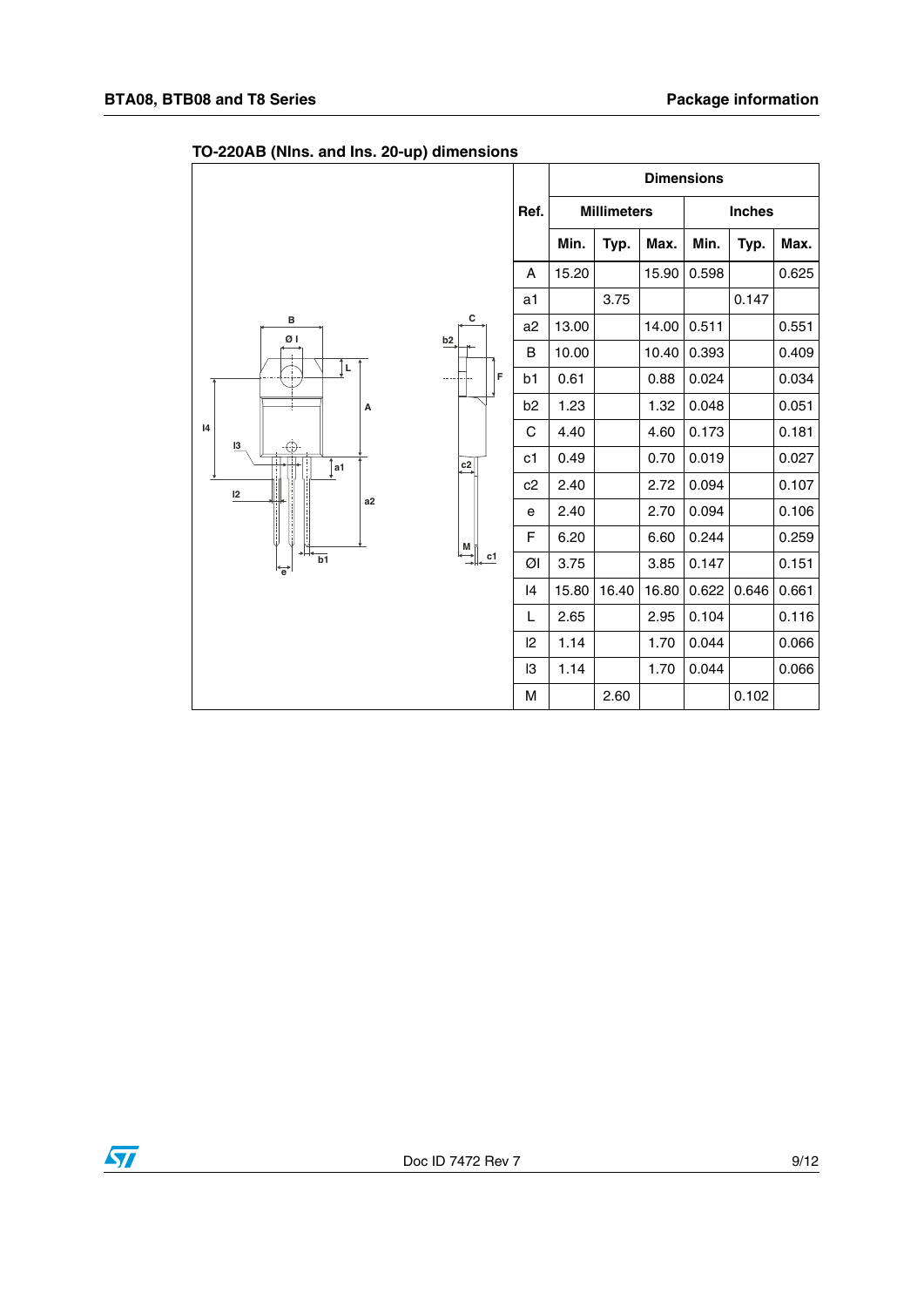| -г,                                                       |                |       |                    | <b>Dimensions</b> |       |               |       |
|-----------------------------------------------------------|----------------|-------|--------------------|-------------------|-------|---------------|-------|
|                                                           | Ref.           |       | <b>Millimeters</b> |                   |       | <b>Inches</b> |       |
|                                                           |                | Min.  | Typ.               | Max.              | Min.  | Typ.          | Max.  |
|                                                           | A              | 15.20 |                    | 15.90             | 0.598 |               | 0.625 |
|                                                           | a1             |       | 3.75               |                   |       | 0.147         |       |
| с<br>в<br>ØΙ                                              | a2             | 13.00 |                    | 14.00             | 0.511 |               | 0.551 |
| b2                                                        | B              | 10.00 |                    | 10.40             | 0.393 |               | 0.409 |
| Î⊾<br>F                                                   | b1             | 0.61  |                    | 0.88              | 0.024 |               | 0.034 |
| А                                                         | b <sub>2</sub> | 1.23  |                    | 1.32              | 0.048 |               | 0.051 |
| 4<br>13                                                   | C              | 4.40  |                    | 4.60              | 0.173 |               | 0.181 |
| ⊕<br>$\overline{c^2}$<br>a1                               | c1             | 0.49  |                    | 0.70              | 0.019 |               | 0.027 |
| 12                                                        | c2             | 2.40  |                    | 2.72              | 0.094 |               | 0.107 |
| a2                                                        | e              | 2.40  |                    | 2.70              | 0.094 |               | 0.106 |
|                                                           | $\mathsf F$    | 6.20  |                    | 6.60              | 0.244 |               | 0.259 |
| $\stackrel{\mathsf{M}}{\longrightarrow}$<br>c1<br>b1<br>ᇦ | Øl             | 3.75  |                    | 3.85              | 0.147 |               | 0.151 |
|                                                           | 14             | 15.80 | 16.40              | 16.80             | 0.622 | 0.646         | 0.661 |
|                                                           | L              | 2.65  |                    | 2.95              | 0.104 |               | 0.116 |
|                                                           | $ 2\rangle$    | 1.14  |                    | 1.70              | 0.044 |               | 0.066 |
|                                                           | I3             | 1.14  |                    | 1.70              | 0.044 |               | 0.066 |
|                                                           | M              |       | 2.60               |                   |       | 0.102         |       |

### **TO-220AB (NIns. and Ins. 20-up) dimensions**

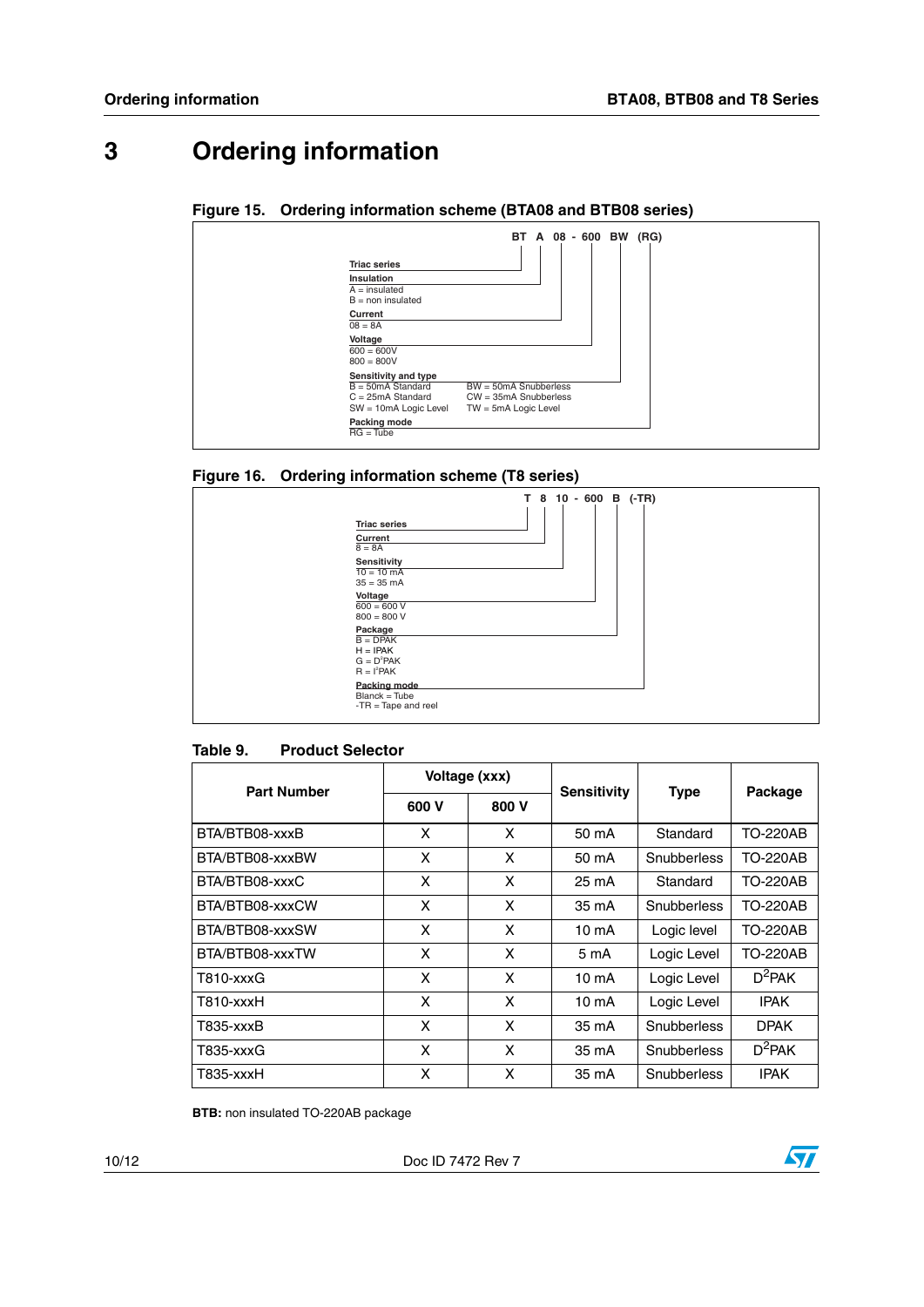### **3 Ordering information**

#### **Figure 15. Ordering information scheme (BTA08 and BTB08 series)**

|                            | BT A 08 - 600 BW (RG)   |  |  |  |
|----------------------------|-------------------------|--|--|--|
| <b>Triac series</b>        |                         |  |  |  |
| <b>Insulation</b>          |                         |  |  |  |
| $A =$ insulated            |                         |  |  |  |
| $B = \text{non insulated}$ |                         |  |  |  |
| Current                    |                         |  |  |  |
| $08 = 8A$                  |                         |  |  |  |
| Voltage                    |                         |  |  |  |
| $600 = 600V$               |                         |  |  |  |
| $800 = 800V$               |                         |  |  |  |
| Sensitivity and type       |                         |  |  |  |
| $B = 50mA$ Standard        | $BW = 50mA$ Snubberless |  |  |  |
| $C = 25mA$ Standard        | $CW = 35mA$ Snubberless |  |  |  |
| SW = 10mA Logic Level      | TW = 5mA Logic Level    |  |  |  |
| Packing mode               |                         |  |  |  |
| $RG = Tube$                |                         |  |  |  |

#### <span id="page-9-0"></span>**Figure 16. Ordering information scheme (T8 series)**

| <b>Triac series</b><br>Current<br>$8 = 8A$<br>Sensitivity<br>$10 = 10 \text{ mA}$<br>$35 = 35$ mA<br>Voltage<br>$600 = 600 V$<br>$800 = 800 V$<br>Package<br>$B = DPAK$<br>$H = IPAK$<br>$G = D^2PAK$<br>$R = I^2PAK$ | T 8 10 - 600 B (-TR) |
|-----------------------------------------------------------------------------------------------------------------------------------------------------------------------------------------------------------------------|----------------------|
| Packing mode<br>Blanck = Tube<br>$-TR = Tape$ and reel                                                                                                                                                                |                      |

#### Table 9. **Product Selector**

| <b>Part Number</b> |       | Voltage (xxx) | <b>Sensitivity</b> |             |                 |
|--------------------|-------|---------------|--------------------|-------------|-----------------|
|                    | 600 V | 800 V         |                    | <b>Type</b> | Package         |
| BTA/BTB08-xxxB     | X     | X             | 50 mA              | Standard    | <b>TO-220AB</b> |
| BTA/BTB08-xxxBW    | X     | X             | 50 mA              | Snubberless | TO-220AB        |
| BTA/BTB08-xxxC     | X     | X             | 25 mA              | Standard    | TO-220AB        |
| BTA/BTB08-xxxCW    | X     | X             | 35 mA              | Snubberless | <b>TO-220AB</b> |
| BTA/BTB08-xxxSW    | X     | X             | 10 mA              | Logic level | TO-220AB        |
| BTA/BTB08-xxxTW    | X     | X             | 5 mA               | Logic Level | TO-220AB        |
| T810-xxxG          | X     | X             | 10 mA              | Logic Level | $D^2$ PAK       |
| T810-xxxH          | X     | X             | 10 mA              | Logic Level | <b>IPAK</b>     |
| T835-xxxB          | X     | X             | 35 mA              | Snubberless | <b>DPAK</b>     |
| T835-xxxG          | X     | X             | 35 mA              | Snubberless | $D^2$ PAK       |
| T835-xxxH          | X     | X             | 35 mA              | Snubberless | <b>IPAK</b>     |

**BTB:** non insulated TO-220AB package

10/12 Doc ID 7472 Rev 7

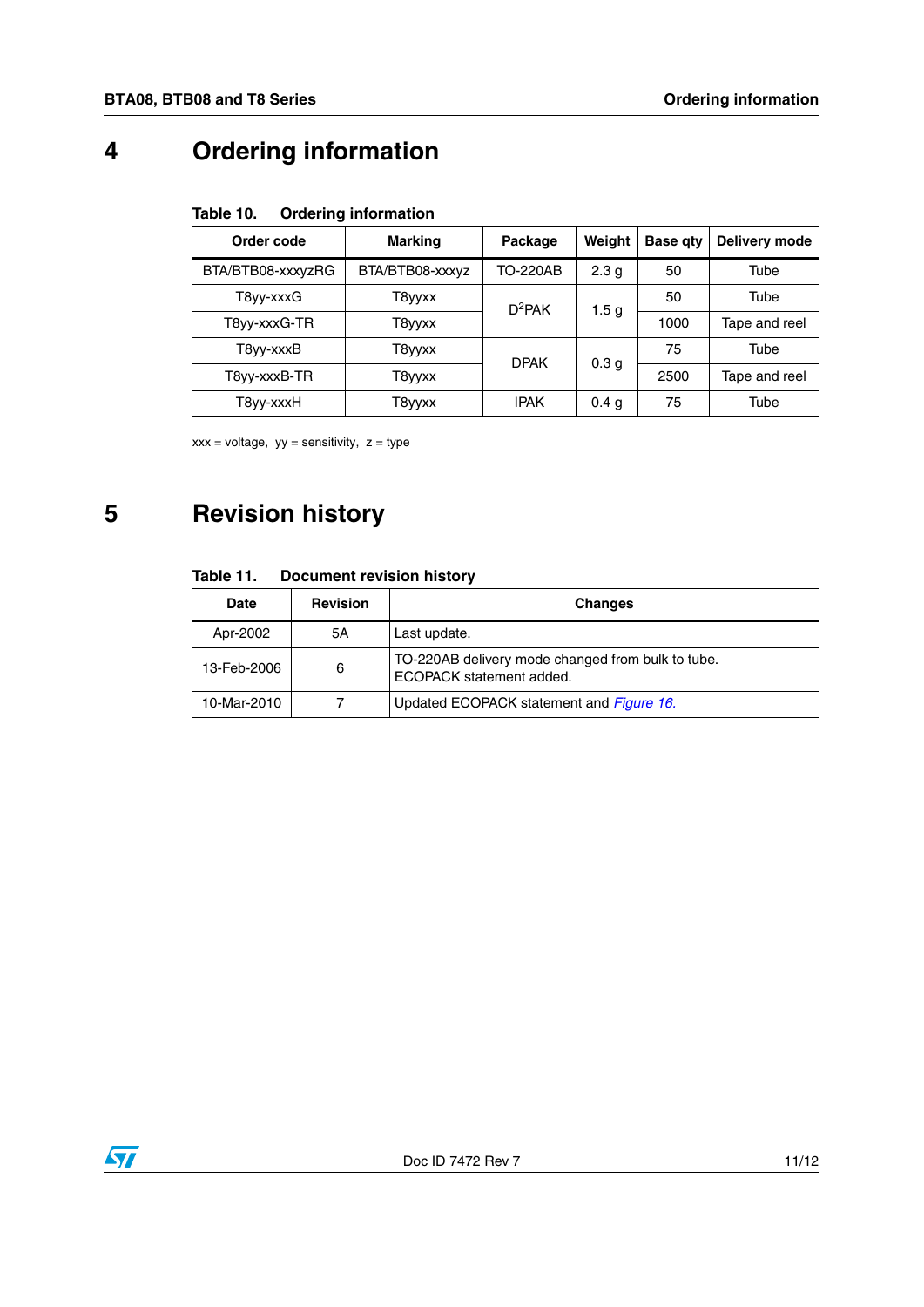# **4 Ordering information**

| Table 10. |  | <b>Ordering information</b> |
|-----------|--|-----------------------------|
|-----------|--|-----------------------------|

| Order code        | <b>Marking</b>  | Package     | Weight           | <b>Base gty</b> | Delivery mode |
|-------------------|-----------------|-------------|------------------|-----------------|---------------|
| BTA/BTB08-xxxyzRG | BTA/BTB08-xxxyz | TO-220AB    | 2.3 <sub>q</sub> | 50              | Tube          |
| T8yy-xxxG         | T8yyxx          | $D^2$ PAK   | 1.5 <sub>g</sub> | 50              | Tube          |
| T8yy-xxxG-TR      | T8yyxx          |             |                  | 1000            | Tape and reel |
| T8vv-xxxB         | T8yyxx          | <b>DPAK</b> | 0.3 <sub>q</sub> | 75              | Tube          |
| T8vv-xxxB-TR      | T8yyxx          |             |                  | 2500            | Tape and reel |
| T8yy-xxxH         | T8yyxx          | <b>IPAK</b> | 0.4 <sub>q</sub> | 75              | Tube          |

 $xxx = voltage$ ,  $yy = sensitivity$ ,  $z = type$ 

## **5 Revision history**

#### Table 11. **Document revision history**

| <b>Date</b> | <b>Revision</b> | <b>Changes</b>                                                                |
|-------------|-----------------|-------------------------------------------------------------------------------|
| Apr-2002    | 5Α              | Last update.                                                                  |
| 13-Feb-2006 | 6               | TO-220AB delivery mode changed from bulk to tube.<br>ECOPACK statement added. |
| 10-Mar-2010 |                 | Updated ECOPACK statement and <i>Figure 16.</i>                               |